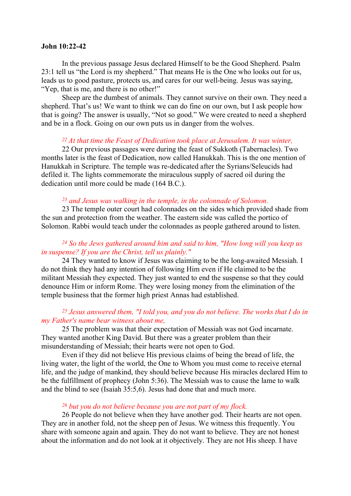#### John 10:22-42

 In the previous passage Jesus declared Himself to be the Good Shepherd. Psalm 23:1 tell us "the Lord is my shepherd." That means He is the One who looks out for us, leads us to good pasture, protects us, and cares for our well-being. Jesus was saying, "Yep, that is me, and there is no other!"

 Sheep are the dumbest of animals. They cannot survive on their own. They need a shepherd. That's us! We want to think we can do fine on our own, but I ask people how that is going? The answer is usually, "Not so good." We were created to need a shepherd and be in a flock. Going on our own puts us in danger from the wolves.

## $22$  At that time the Feast of Dedication took place at Jerusalem. It was winter,

22 Our previous passages were during the feast of Sukkoth (Tabernacles). Two months later is the feast of Dedication, now called Hanukkah. This is the one mention of Hanukkah in Scripture. The temple was re-dedicated after the Syrians/Seleucids had defiled it. The lights commemorate the miraculous supply of sacred oil during the dedication until more could be made (164 B.C.).

### $23$  and Jesus was walking in the temple, in the colonnade of Solomon.

 23 The temple outer court had colonnades on the sides which provided shade from the sun and protection from the weather. The eastern side was called the portico of Solomon. Rabbi would teach under the colonnades as people gathered around to listen.

## <sup>24</sup> So the Jews gathered around him and said to him, "How long will you keep us in suspense? If you are the Christ, tell us plainly."

24 They wanted to know if Jesus was claiming to be the long-awaited Messiah. I do not think they had any intention of following Him even if He claimed to be the militant Messiah they expected. They just wanted to end the suspense so that they could denounce Him or inform Rome. They were losing money from the elimination of the temple business that the former high priest Annas had established.

## $25$  Jesus answered them, "I told you, and you do not believe. The works that I do in my Father's name bear witness about me,

25 The problem was that their expectation of Messiah was not God incarnate. They wanted another King David. But there was a greater problem than their misunderstanding of Messiah; their hearts were not open to God.

Even if they did not believe His previous claims of being the bread of life, the living water, the light of the world, the One to Whom you must come to receive eternal life, and the judge of mankind, they should believe because His miracles declared Him to be the fulfillment of prophecy (John 5:36). The Messiah was to cause the lame to walk and the blind to see (Isaiah 35:5,6). Jesus had done that and much more.

### $26$  but you do not believe because you are not part of my flock.

26 People do not believe when they have another god. Their hearts are not open. They are in another fold, not the sheep pen of Jesus. We witness this frequently. You share with someone again and again. They do not want to believe. They are not honest about the information and do not look at it objectively. They are not His sheep. I have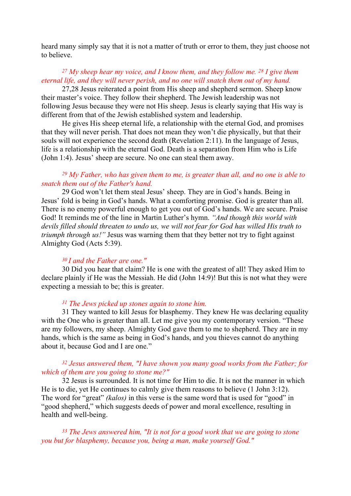heard many simply say that it is not a matter of truth or error to them, they just choose not to believe.

# <sup>27</sup> My sheep hear my voice, and I know them, and they follow me. <sup>28</sup> I give them eternal life, and they will never perish, and no one will snatch them out of my hand.

27,28 Jesus reiterated a point from His sheep and shepherd sermon. Sheep know their master's voice. They follow their shepherd. The Jewish leadership was not following Jesus because they were not His sheep. Jesus is clearly saying that His way is different from that of the Jewish established system and leadership.

 He gives His sheep eternal life, a relationship with the eternal God, and promises that they will never perish. That does not mean they won't die physically, but that their souls will not experience the second death (Revelation 2:11). In the language of Jesus, life is a relationship with the eternal God. Death is a separation from Him who is Life (John 1:4). Jesus' sheep are secure. No one can steal them away.

# <sup>29</sup> My Father, who has given them to me, is greater than all, and no one is able to snatch them out of the Father's hand.

29 God won't let them steal Jesus' sheep. They are in God's hands. Being in Jesus' fold is being in God's hands. What a comforting promise. God is greater than all. There is no enemy powerful enough to get you out of God's hands. We are secure. Praise God! It reminds me of the line in Martin Luther's hymn. "And though this world with devils filled should threaten to undo us, we will not fear for God has willed His truth to triumph through us!" Jesus was warning them that they better not try to fight against Almighty God (Acts 5:39).

## <sup>30</sup>I and the Father are one."

30 Did you hear that claim? He is one with the greatest of all! They asked Him to declare plainly if He was the Messiah. He did (John 14:9)! But this is not what they were expecting a messiah to be; this is greater.

### $31$  The Jews picked up stones again to stone him.

31 They wanted to kill Jesus for blasphemy. They knew He was declaring equality with the One who is greater than all. Let me give you my contemporary version. "These are my followers, my sheep. Almighty God gave them to me to shepherd. They are in my hands, which is the same as being in God's hands, and you thieves cannot do anything about it, because God and I are one."

# <sup>32</sup> Jesus answered them, "I have shown you many good works from the Father; for which of them are you going to stone me?"

32 Jesus is surrounded. It is not time for Him to die. It is not the manner in which He is to die, yet He continues to calmly give them reasons to believe (1 John 3:12). The word for "great" *(kalos)* in this verse is the same word that is used for "good" in "good shepherd," which suggests deeds of power and moral excellence, resulting in health and well-being.

<sup>33</sup> The Jews answered him, "It is not for a good work that we are going to stone you but for blasphemy, because you, being a man, make yourself God."